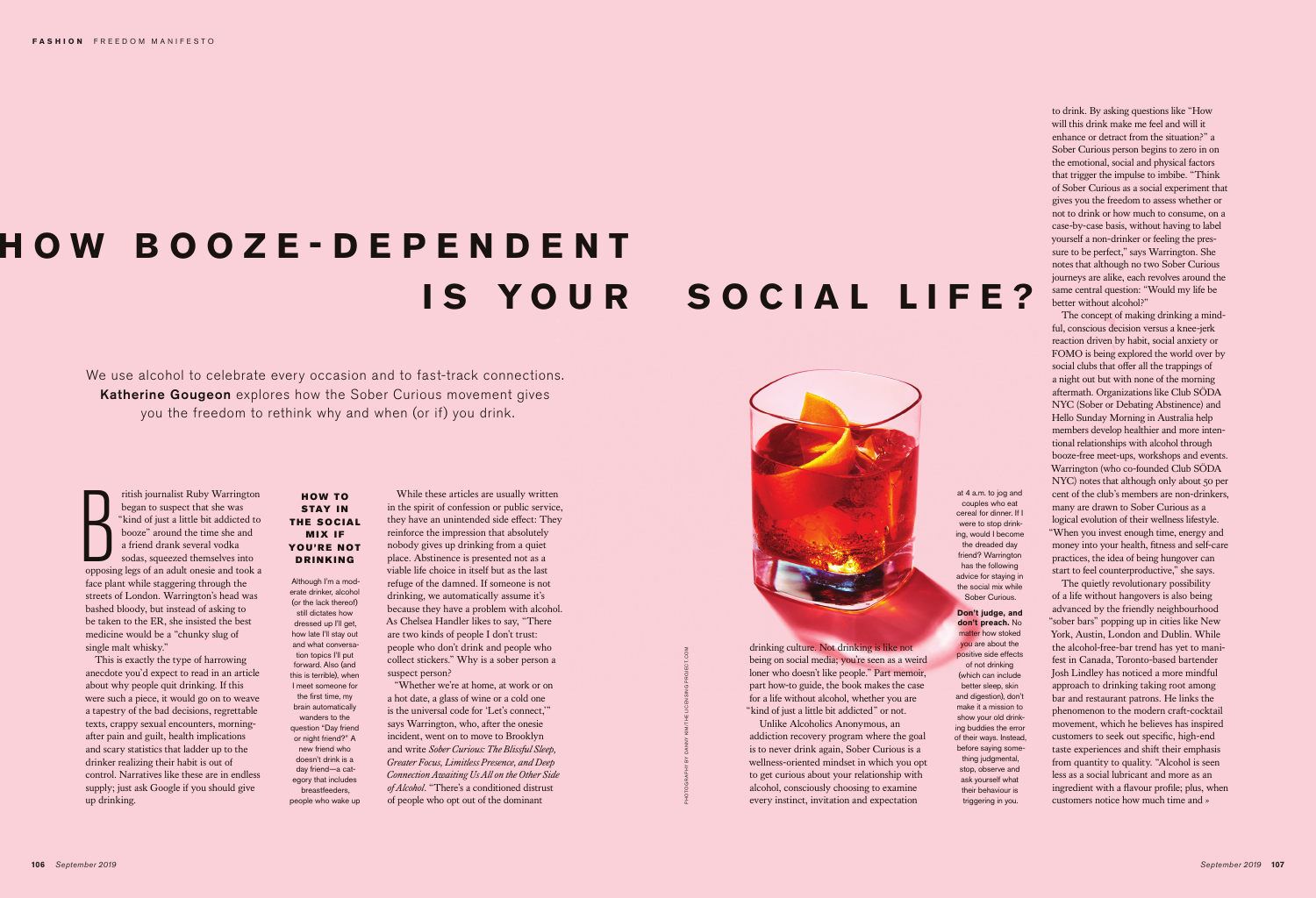B<br>Opposin ritish journalist Ruby Warrington began to suspect that she was "kind of just a little bit addicted to booze" around the time she and a friend drank several vodka sodas, squeezed themselves into opposing legs of an adult onesie and took a face plant while staggering through the streets of London. Warrington's head was bashed bloody, but instead of asking to be taken to the ER, she insisted the best medicine would be a "chunky slug of single malt whisky."

This is exactly the type of harrowing anecdote you'd expect to read in an article about why people quit drinking. If this were such a piece, it would go on to weave a tapestry of the bad decisions, regrettable texts, crappy sexual encounters, morningafter pain and guilt, health implications and scary statistics that ladder up to the drinker realizing their habit is out of control. Narratives like these are in endless supply; just ask Google if you should give up drinking.

drinking culture. Not drinking is like not being on social media; you're seen as a weird loner who doesn't like people." Part memoir, part how-to guide, the book makes the case for a life without alcohol, whether you are "kind of just a little bit addicted" or not.

Unlike Alcoholics Anonymous, an addiction recovery program where the goal is to never drink again, Sober Curious is a wellness-oriented mindset in which you opt to get curious about your relationship with alcohol, consciously choosing to examine every instinct, invitation and expectation

106 **106 106 106 106 106 106 106 106 108 108 108 108 108 108 108 108 108 108 108 108 108 108 108 108 108 108 108 108 108 108 108 108 108 108 108 108** The quietly revolutionary possibility of a life without hangovers is also being advanced by the friendly neighbourhood "sober bars" popping up in cities like New York, Austin, London and Dublin. While the alcohol-free-bar trend has yet to manifest in Canada, Toronto-based bartender Josh Lindley has noticed a more mindful approach to drinking taking root among bar and restaurant patrons. He links the phenomenon to the modern craft-cocktail movement, which he believes has inspired customers to seek out specific, high-end taste experiences and shift their emphasis from quantity to quality. "Alcohol is seen less as a social lubricant and more as an ingredient with a flavour profile; plus, when customers notice how much time and »

to drink. By asking questions like "How will this drink make me feel and will it enhance or detract from the situation?" a Sober Curious person begins to zero in on the emotional, social and physical factors that trigger the impulse to imbibe. "Think of Sober Curious as a social experiment that gives you the freedom to assess whether or not to drink or how much to consume, on a case-by-case basis, without having to label yourself a non-drinker or feeling the pressure to be perfect," says Warrington. She notes that although no two Sober Curious journeys are alike, each revolves around the same central question: "Would my life be better without alcohol?"

The concept of making drinking a mindful, conscious decision versus a knee-jerk reaction driven by habit, social anxiety or FOMO is being explored the world over by social clubs that offer all the trappings of a night out but with none of the morning aftermath. Organizations like Club SÖDA NYC (Sober or Debating Abstinence) and Hello Sunday Morning in Australia help members develop healthier and more intentional relationships with alcohol through booze-free meet-ups, workshops and events. Warrington (who co-founded Club SÖDA NYC) notes that although only about 50 per cent of the club's members are non-drinkers, many are drawn to Sober Curious as a logical evolution of their wellness lifestyle. "When you invest enough time, energy and money into your health, fitness and self-care practices, the idea of being hungover can start to feel counterproductive," she says.

## **H O W B O O Z E - D E P E N D E N T IS YOUR SOCIAL LIFE?**

We use alcohol to celebrate every occasion and to fast-track connections. Katherine Gougeon explores how the Sober Curious movement gives you the freedom to rethink why and when (or if) you drink.

> While these articles are usually written in the spirit of confession or public service, they have an unintended side effect: They reinforce the impression that absolutely nobody gives up drinking from a quiet place. Abstinence is presented not as a viable life choice in itself but as the last refuge of the damned. If someone is not drinking, we automatically assume it's because they have a problem with alcohol. As Chelsea Handler likes to say, "There are two kinds of people I don't trust: people who don't drink and people who collect stickers." Why is a sober person a suspect person?

"Whether we're at home, at work or on a hot date, a glass of wine or a cold one is the universal code for 'Let's connect,'" says Warrington, who, after the onesie incident, went on to move to Brooklyn and write *Sober Curious: The Blissful Sleep, Greater Focus, Limitless Presence, and Deep Connection Awaiting Us All on the Other Side of Alcohol*. "There's a conditioned distrust of people who opt out of the dominant



## HOW TO STAY IN THE SOCIAL **MIX IF** YOU'RE NOT DRINKING

Although I'm a moderate drinker, alcohol (or the lack thereof) still dictates how dressed up I'll get, how late I'll stay out and what conversation topics I'll put forward. Also (and this is terrible), when I meet someone for the first time, my brain automatically wanders to the question "Day friend or night friend?" A new friend who doesn't drink is a day friend—a category that includes breastfeeders, people who wake up at 4 a.m. to jog and couples who eat cereal for dinner. If I were to stop drinking, would I become the dreaded day friend? Warrington has the following advice for staying in the social mix while Sober Curious.

**Don't judge, and** 

**don't preach.** No matter how stoked you are about the positive side effects of not drinking (which can include better sleep, skin and digestion), don't make it a mission to show your old drinking buddies the error of their ways. Instead, before saying something judgmental, stop, observe and ask yourself what their behaviour is triggering in you.